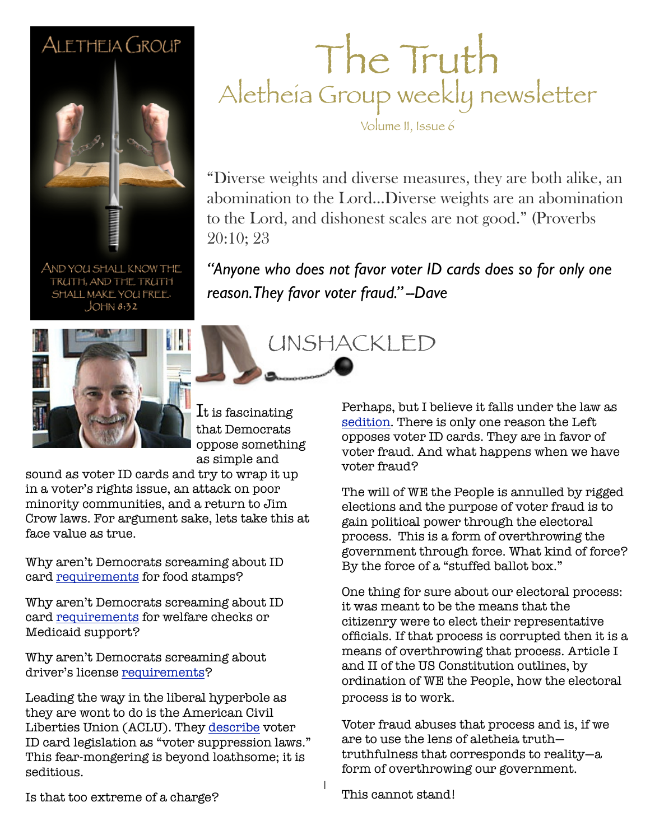## ALETHEIA GROUP



The Truth Aletheia Group weekly newsletter Volume II, Issue 6

"Diverse weights and diverse measures, they are both alike, an abomination to the Lord…Diverse weights are an abomination to the Lord, and dishonest scales are not good." (Proverbs 20:10; 23

*"Anyone who does not favor voter ID cards does so for only one reason. They favor voter fraud." --Dave*

UNSHACKLED

AND YOU SHALL KNOW THE TRUTH, AND THE TRUTH SHALL MAKE YOU FREE.  $JOHM 8:32$ 



 ${\rm It}$  is fascinating that Democrats oppose something as simple and

sound as voter ID cards and try to wrap it up in a voter's rights issue, an attack on poor minority communities, and a return to Jim Crow laws. For argument sake, lets take this at face value as true.

Why aren't Democrats screaming about ID card [requirements](http://tinyurl.com/7frxdka) for food stamps?

Why aren't Democrats screaming about ID card [requirements](http://www.dcf.state.fl.us/contact/contact_ACCESS.shtml) for welfare checks or Medicaid support?

Why aren't Democrats screaming about driver's license [requirements?](http://www.gathergoget.com/)

Leading the way in the liberal hyperbole as they are wont to do is the American Civil Liberties Union (ACLU). They [describe](http://www.aclu.org/voter-suppression-america) voter ID card legislation as "voter suppression laws." This fear-mongering is beyond loathsome; it is seditious.

Perhaps, but I believe it falls under the law as [sedition.](http://www.law.cornell.edu/uscode/text/18/2384) There is only one reason the Left opposes voter ID cards. They are in favor of voter fraud. And what happens when we have voter fraud?

The will of WE the People is annulled by rigged elections and the purpose of voter fraud is to gain political power through the electoral process. This is a form of overthrowing the government through force. What kind of force? By the force of a "stuffed ballot box."

One thing for sure about our electoral process: it was meant to be the means that the citizenry were to elect their representative officials. If that process is corrupted then it is a means of overthrowing that process. Article I and II of the US Constitution outlines, by ordination of WE the People, how the electoral process is to work.

Voter fraud abuses that process and is, if we are to use the lens of aletheia truth truthfulness that corresponds to reality—a form of overthrowing our government.

Is that too extreme of a charge?

This cannot stand!

1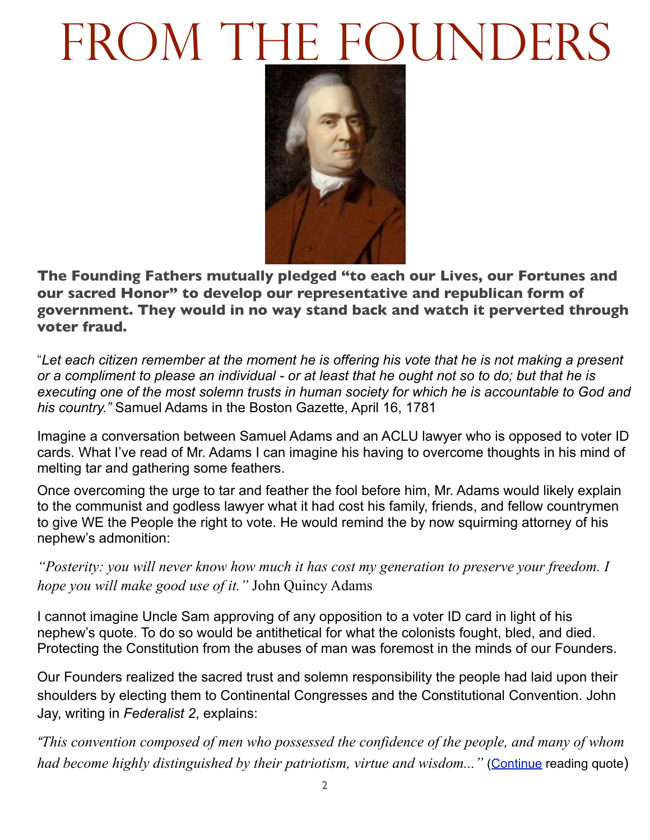## FROM THE FOUNDERS



**The Founding Fathers mutually pledged "to each our Lives, our Fortunes and our sacred Honor" to develop our representative and republican form of government. They would in no way stand back and watch it perverted through voter fraud.**

"*Let each citizen remember at the moment he is offering his vote that he is not making a present or a compliment to please an individual - or at least that he ought not so to do; but that he is executing one of the most solemn trusts in human society for which he is accountable to God and his country."* Samuel Adams in the Boston Gazette, April 16, 1781

Imagine a conversation between Samuel Adams and an ACLU lawyer who is opposed to voter ID cards. What I've read of Mr. Adams I can imagine his having to overcome thoughts in his mind of melting tar and gathering some feathers.

Once overcoming the urge to tar and feather the fool before him, Mr. Adams would likely explain to the communist and godless lawyer what it had cost his family, friends, and fellow countrymen to give WE the People the right to vote. He would remind the by now squirming attorney of his nephew's admonition:

*"Posterity: you will never know how much it has cost my generation to preserve your freedom. I hope you will make good use of it."* John Quincy Adams

I cannot imagine Uncle Sam approving of any opposition to a voter ID card in light of his nephew's quote. To do so would be antithetical for what the colonists fought, bled, and died. Protecting the Constitution from the abuses of man was foremost in the minds of our Founders.

Our Founders realized the sacred trust and solemn responsibility the people had laid upon their shoulders by electing them to Continental Congresses and the Constitutional Convention. John Jay, writing in *Federalist 2*, explains:

*"This convention composed of men who possessed the confidence of the people, and many of whom had become highly distinguished by their patriotism, virtue and wisdom...*" [\(Continue](http://www.aletheiagroup.org/wp-content/uploads/2012/02/Federalist-2-Quote.pdf) reading quote)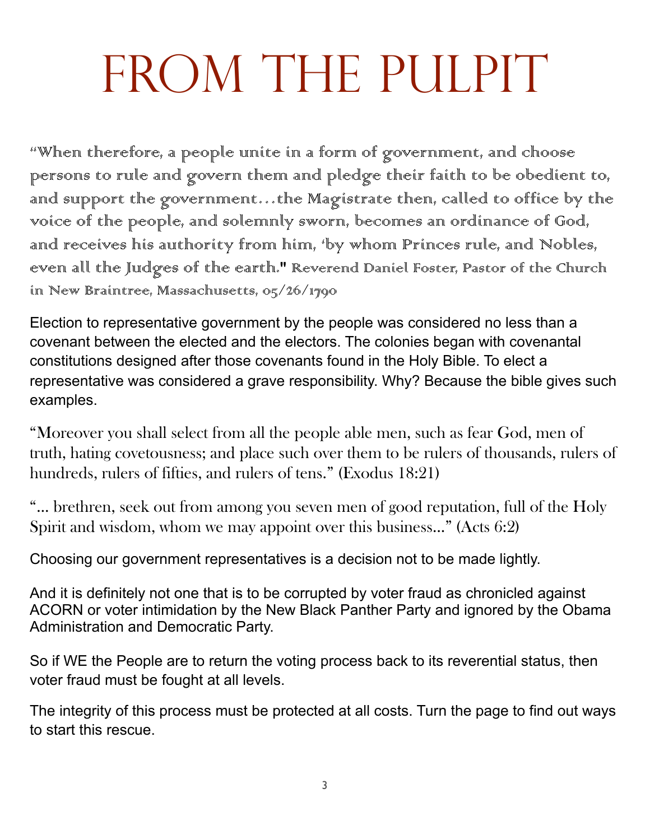## FROM THE PULPIT

"When therefore, a people unite in a form of government, and choose persons to rule and govern them and pledge their faith to be obedient to, and support the government…the Magistrate then, called to office by the voice of the people, and solemnly sworn, becomes an ordinance of God, and receives his authority from him, 'by whom Princes rule, and Nobles, even all the Judges of the earth." Reverend Daniel Foster, Pastor of the Church in New Braintree, Massachusetts, 05/26/1790

Election to representative government by the people was considered no less than a covenant between the elected and the electors. The colonies began with covenantal constitutions designed after those covenants found in the Holy Bible. To elect a representative was considered a grave responsibility. Why? Because the bible gives such examples.

"Moreover you shall select from all the people able men, such as fear God, men of truth, hating covetousness; and place such over them to be rulers of thousands, rulers of hundreds, rulers of fifties, and rulers of tens." (Exodus 18:21)

"… brethren, seek out from among you seven men of good reputation, full of the Holy Spirit and wisdom, whom we may appoint over this business…" (Acts 6:2)

Choosing our government representatives is a decision not to be made lightly.

And it is definitely not one that is to be corrupted by voter fraud as chronicled against ACORN or voter intimidation by the New Black Panther Party and ignored by the Obama Administration and Democratic Party.

So if WE the People are to return the voting process back to its reverential status, then voter fraud must be fought at all levels.

The integrity of this process must be protected at all costs. Turn the page to find out ways to start this rescue.